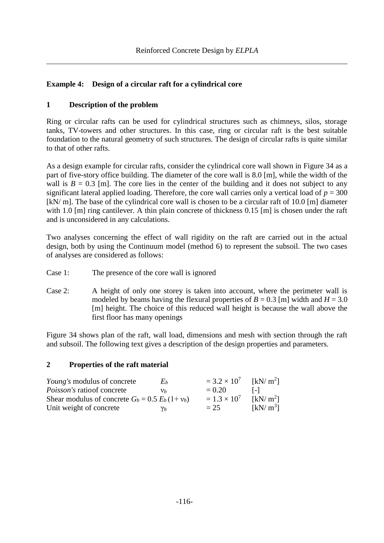# **Example 4: Design of a circular raft for a cylindrical core**

# **1 Description of the problem**

Ring or circular rafts can be used for cylindrical structures such as chimneys, silos, storage tanks, TV-towers and other structures. In this case, ring or circular raft is the best suitable foundation to the natural geometry of such structures. The design of circular rafts is quite similar to that of other rafts.

As a design example for circular rafts, consider the cylindrical core wall shown in [Figure 34](#page-1-0) as a part of five-story office building. The diameter of the core wall is 8.0 [m], while the width of the wall is  $B = 0.3$  [m]. The core lies in the center of the building and it does not subject to any significant lateral applied loading. Therefore, the core wall carries only a vertical load of  $p = 300$ [kN/ m]. The base of the cylindrical core wall is chosen to be a circular raft of 10.0 [m] diameter with 1.0 [m] ring cantilever. A thin plain concrete of thickness 0.15 [m] is chosen under the raft and is unconsidered in any calculations.

Two analyses concerning the effect of wall rigidity on the raft are carried out in the actual design, both by using the Continuum model (method 6) to represent the subsoil. The two cases of analyses are considered as follows:

- Case 1: The presence of the core wall is ignored
- Case 2: A height of only one storey is taken into account, where the perimeter wall is modeled by beams having the flexural properties of  $B = 0.3$  [m] width and  $H = 3.0$ [m] height. The choice of this reduced wall height is because the wall above the first floor has many openings

[Figure 34](#page-1-0) shows plan of the raft, wall load, dimensions and mesh with section through the raft and subsoil. The following text gives a description of the design properties and parameters.

# **2 Properties of the raft material**

| <i>Young's</i> modulus of concrete                  | $E_b$      | $= 3.2 \times 10^{7}$ | [kN/m <sup>2</sup> ] |
|-----------------------------------------------------|------------|-----------------------|----------------------|
| <i>Poisson's</i> ratio of concrete                  | Vħ.        | $= 0.20$              | $ - $                |
| Shear modulus of concrete $G_b = 0.5 E_b (1 + v_b)$ |            | $= 1.3 \times 10^{7}$ | [kN/m <sup>2</sup> ] |
| Unit weight of concrete                             | $\gamma_h$ | $= 25$                | [kN/m <sup>3</sup> ] |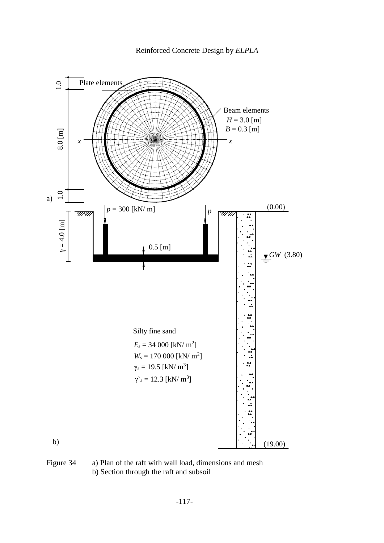

<span id="page-1-0"></span>Figure 34 a) Plan of the raft with wall load, dimensions and mesh b) Section through the raft and subsoil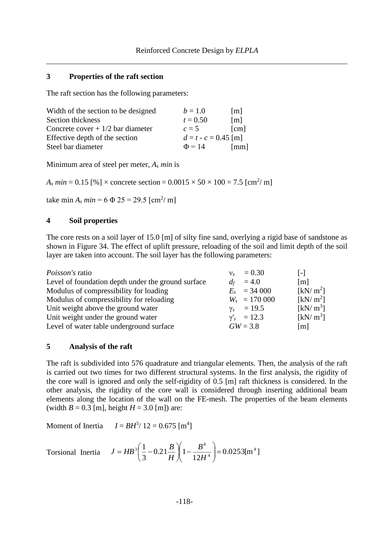#### **3 Properties of the raft section**

The raft section has the following parameters:

| Width of the section to be designed | $b = 1.0$              | $\lceil m \rceil$    |
|-------------------------------------|------------------------|----------------------|
| Section thickness                   | $t = 0.50$             | $\lceil m \rceil$    |
| Concrete cover $+1/2$ bar diameter  | $c=5$                  | $\lceil$ cm $\rceil$ |
| Effective depth of the section      | $d = t - c = 0.45$ [m] |                      |
| Steel bar diameter                  | $\Phi = 14$            | [mm]                 |

Minimum area of steel per meter, *A<sup>s</sup> min* is

 $A_s$  *min* = 0.15 [%]  $\times$  concrete section = 0.0015  $\times$  50  $\times$  100 = 7.5 [cm<sup>2</sup>/ m]

take min  $A_s$   $min = 6 \Phi 25 = 29.5$  [cm<sup>2</sup>/ m]

#### **4 Soil properties**

The core rests on a soil layer of 15.0 [m] of silty fine sand, overlying a rigid base of sandstone as shown in [Figure 34.](#page-1-0) The effect of uplift pressure, reloading of the soil and limit depth of the soil layer are taken into account. The soil layer has the following parameters:

| Poisson's ratio                                    | $= 0.30$<br>$v_{s}$ | $\mathsf{L}$         |
|----------------------------------------------------|---------------------|----------------------|
| Level of foundation depth under the ground surface | $d_f = 4.0$         | $\lceil m \rceil$    |
| Modulus of compressibility for loading             | $E_s = 34\,000$     | [kN/m <sup>2</sup> ] |
| Modulus of compressibility for reloading           | $W_s = 170000$      | [kN/m <sup>2</sup> ] |
| Unit weight above the ground water                 | $\gamma_s = 19.5$   | [kN/m <sup>3</sup> ] |
| Unit weight under the ground water                 | $y'_{s} = 12.3$     | [kN/m <sup>3</sup> ] |
| Level of water table underground surface           | $GW = 3.8$          | $\lceil m \rceil$    |

#### **5 Analysis of the raft**

The raft is subdivided into 576 quadrature and triangular elements. Then, the analysis of the raft is carried out two times for two different structural systems. In the first analysis, the rigidity of the core wall is ignored and only the self-rigidity of 0.5 [m] raft thickness is considered. In the other analysis, the rigidity of the core wall is considered through inserting additional beam elements along the location of the wall on the FE-mesh. The properties of the beam elements (width  $B = 0.3$  [m], height  $H = 3.0$  [m]) are:

**Moment of Inertia**  $/ 12 = 0.675$  [m<sup>4</sup>]

Torsional Inertia 
$$
J = HB^3 \left( \frac{1}{3} - 0.21 \frac{B}{H} \right) \left( 1 - \frac{B^4}{12H^4} \right) = 0.0253 \text{[m}^4 \text{]}
$$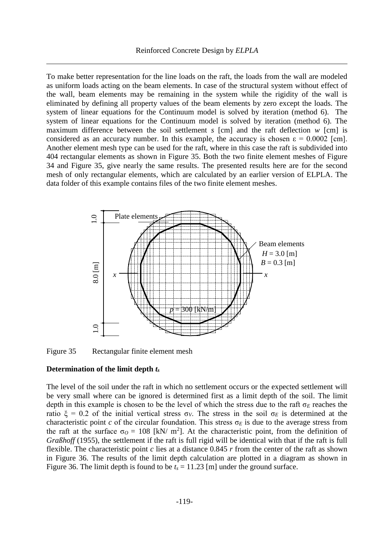To make better representation for the line loads on the raft, the loads from the wall are modeled as uniform loads acting on the beam elements. In case of the structural system without effect of the wall, beam elements may be remaining in the system while the rigidity of the wall is eliminated by defining all property values of the beam elements by zero except the loads. The system of linear equations for the Continuum model is solved by iteration (method 6). The system of linear equations for the Continuum model is solved by iteration (method 6). The maximum difference between the soil settlement *s* [cm] and the raft deflection *w* [cm] is considered as an accuracy number. In this example, the accuracy is chosen  $\varepsilon = 0.0002$  [cm]. Another element mesh type can be used for the raft, where in this case the raft is subdivided into 404 rectangular elements as shown in [Figure 35.](#page-3-0) Both the two finite element meshes of [Figure](#page-1-0)  [34](#page-1-0) and [Figure 35,](#page-3-0) give nearly the same results. The presented results here are for the second mesh of only rectangular elements, which are calculated by an earlier version of ELPLA. The data folder of this example contains files of the two finite element meshes.



<span id="page-3-0"></span>Figure 35 Rectangular finite element mesh

#### **Determination of the limit depth** *t<sup>s</sup>*

The level of the soil under the raft in which no settlement occurs or the expected settlement will be very small where can be ignored is determined first as a limit depth of the soil. The limit depth in this example is chosen to be the level of which the stress due to the raft σ*<sup>E</sup>* reaches the ratio ξ = 0.2 of the initial vertical stress  $\sigma_V$ . The stress in the soil  $\sigma_E$  is determined at the characteristic point *c* of the circular foundation. This stress  $\sigma_E$  is due to the average stress from the raft at the surface  $\sigma$ <sup>o</sup> = 108 [kN/ m<sup>2</sup>]. At the characteristic point, from the definition of *Graßhoff* (1955), the settlement if the raft is full rigid will be identical with that if the raft is full flexible. The characteristic point *c* lies at a distance 0.845 *r* from the center of the raft as shown in [Figure 36.](#page-5-0) The results of the limit depth calculation are plotted in a diagram as shown in [Figure 36.](#page-5-0) The limit depth is found to be *t<sup>s</sup>* = 11.23 [m] under the ground surface.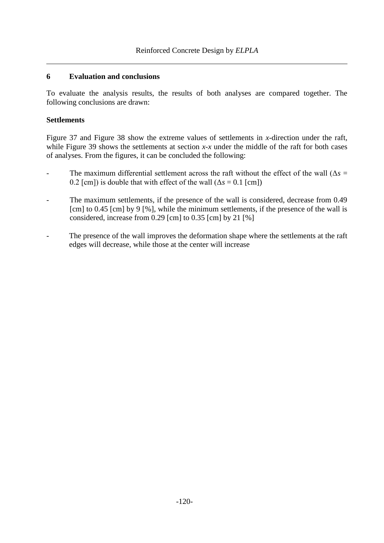### **6 Evaluation and conclusions**

To evaluate the analysis results, the results of both analyses are compared together. The following conclusions are drawn:

### **Settlements**

[Figure 37](#page-8-0) and [Figure 38](#page-8-1) show the extreme values of settlements in *x*-direction under the raft, while [Figure 39](#page-9-0) shows the settlements at section *x-x* under the middle of the raft for both cases of analyses. From the figures, it can be concluded the following:

- The maximum differential settlement across the raft without the effect of the wall ( $\Delta s$  = 0.2 [cm]) is double that with effect of the wall  $(\Delta s = 0.1$  [cm])
- The maximum settlements, if the presence of the wall is considered, decrease from 0.49 [cm] to 0.45 [cm] by 9 [%], while the minimum settlements, if the presence of the wall is considered, increase from 0.29 [cm] to 0.35 [cm] by 21 [%]
- The presence of the wall improves the deformation shape where the settlements at the raft edges will decrease, while those at the center will increase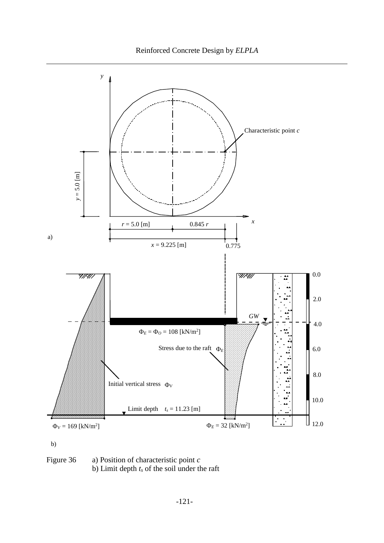Reinforced Concrete Design by *ELPLA*



b)

<span id="page-5-0"></span>Figure 36 a) Position of characteristic point *c* b) Limit depth *t<sup>s</sup>* of the soil under the raft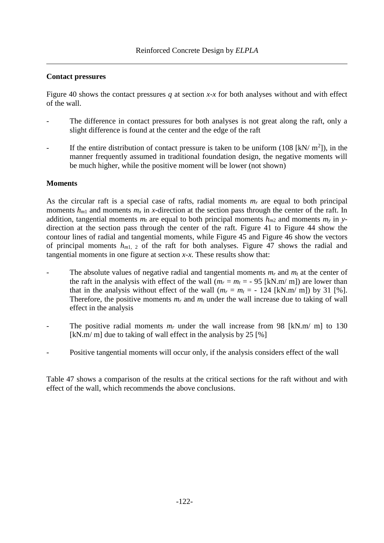### **Contact pressures**

[Figure 40](#page-9-1) shows the contact pressures *q* at section *x-x* for both analyses without and with effect of the wall.

- The difference in contact pressures for both analyses is not great along the raft, only a slight difference is found at the center and the edge of the raft
- If the entire distribution of contact pressure is taken to be uniform  $(108 \text{ [kN/m}^2))$ , in the manner frequently assumed in traditional foundation design, the negative moments will be much higher, while the positive moment will be lower (not shown)

# **Moments**

As the circular raft is a special case of rafts, radial moments  $m<sub>r</sub>$  are equal to both principal moments  $h_{m1}$  and moments  $m_x$  in *x*-direction at the section pass through the center of the raft. In addition, tangential moments  $m_t$  are equal to both principal moments  $h_{m2}$  and moments  $m_y$  in ydirection at the section pass through the center of the raft. [Figure 41](#page-10-0) to [Figure 44](#page-11-0) show the contour lines of radial and tangential moments, while [Figure 45](#page-12-0) and [Figure 46](#page-12-1) show the vectors of principal moments  $h_{m1}$ , 2 of the raft for both analyses. [Figure 47](#page-14-0) shows the radial and tangential moments in one figure at section *x-x*. These results show that:

- The absolute values of negative radial and tangential moments  $m_r$  and  $m_t$  at the center of the raft in the analysis with effect of the wall  $(m_r = m_t = -95$  [kN.m/ m]) are lower than that in the analysis without effect of the wall  $(m_r = m_t = -124$  [kN.m/ m]) by 31 [%]. Therefore, the positive moments  $m_r$  and  $m_t$  under the wall increase due to taking of wall effect in the analysis
- The positive radial moments  $m_r$  under the wall increase from 98 [kN.m/ m] to 130 [kN.m/ m] due to taking of wall effect in the analysis by 25 [%]
- Positive tangential moments will occur only, if the analysis considers effect of the wall

[Table 47](#page-7-0) shows a comparison of the results at the critical sections for the raft without and with effect of the wall, which recommends the above conclusions.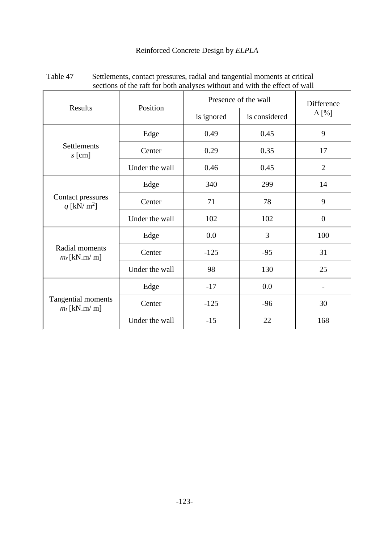| sections of the raft for both analyses without and with the effect of wall |                |                      |               |                |
|----------------------------------------------------------------------------|----------------|----------------------|---------------|----------------|
| Results                                                                    | Position       | Presence of the wall | Difference    |                |
|                                                                            |                | is ignored           | is considered | $\Delta$ [%]   |
|                                                                            | Edge           | 0.49                 | 0.45          | 9              |
| Settlements<br>$s$ [cm]                                                    | Center         | 0.29                 | 0.35          | 17             |
|                                                                            | Under the wall | 0.46                 | 0.45          | $\overline{2}$ |
|                                                                            | Edge           | 340                  | 299           | 14             |
| Contact pressures<br>q [kN/ m <sup>2</sup> ]                               | Center         | 71                   | 78            | 9              |
|                                                                            | Under the wall | 102                  | 102           | $\overline{0}$ |
|                                                                            | Edge           | 0.0                  | 3             | 100            |
| Radial moments<br>$m_r$ [kN.m/ m]                                          | Center         | $-125$               | $-95$         | 31             |
|                                                                            | Under the wall | 98                   | 130           | 25             |
|                                                                            | Edge           | $-17$                | 0.0           |                |
| Tangential moments<br>$m_t$ [kN.m/ m]                                      | Center         | $-125$               | $-96$         | 30             |
|                                                                            | Under the wall | $-15$                | 22            | 168            |

# <span id="page-7-0"></span>Table 47 Settlements, contact pressures, radial and tangential moments at critical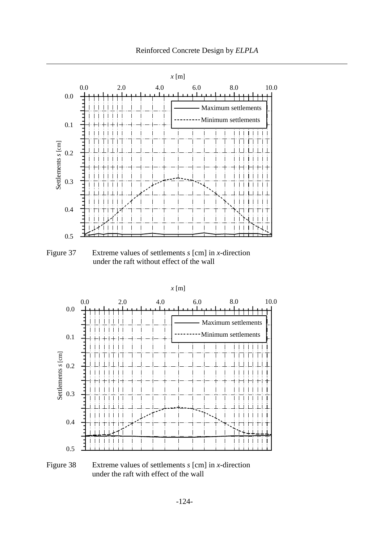Reinforced Concrete Design by *ELPLA*



<span id="page-8-0"></span>Figure 37 Extreme values of settlements *s* [cm] in *x*-direction under the raft without effect of the wall



<span id="page-8-1"></span>Figure 38 Extreme values of settlements *s* [cm] in *x*-direction under the raft with effect of the wall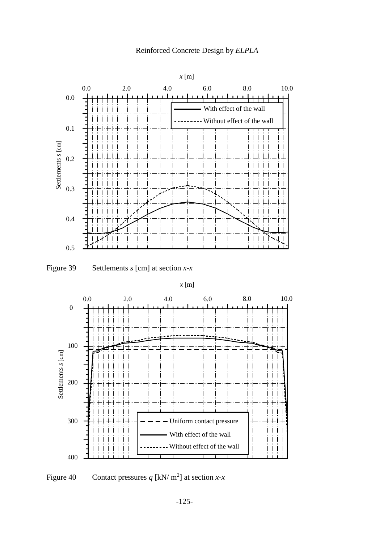



<span id="page-9-0"></span>



<span id="page-9-1"></span>Figure 40 Contact pressures  $q$  [kN/ m<sup>2</sup>] at section *x*-*x*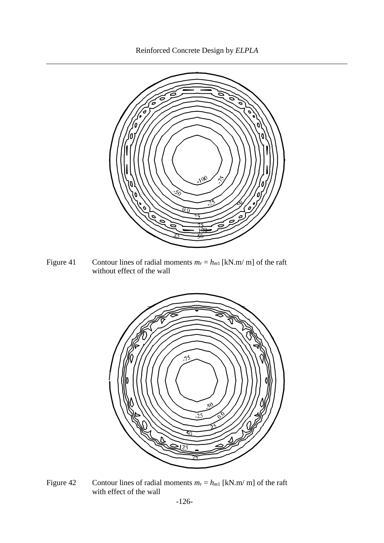

<span id="page-10-0"></span>Figure 41 Contour lines of radial moments  $m_r = h_{m1}$  [kN.m/ m] of the raft without effect of the wall



Figure 42 Contour lines of radial moments  $m_r = h_{m1}$  [kN.m/ m] of the raft with effect of the wall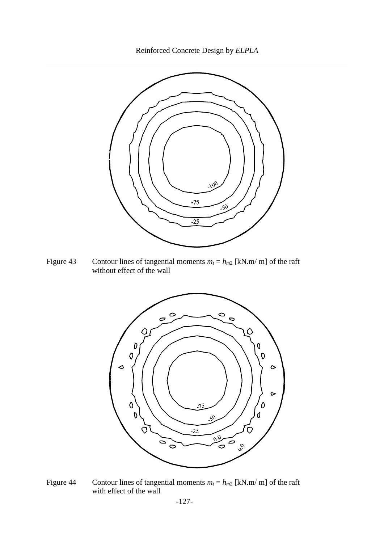

Figure 43 Contour lines of tangential moments  $m_t = h_{m2}$  [kN.m/ m] of the raft without effect of the wall



<span id="page-11-0"></span>Figure 44 Contour lines of tangential moments  $m_t = h_{m2}$  [kN.m/ m] of the raft with effect of the wall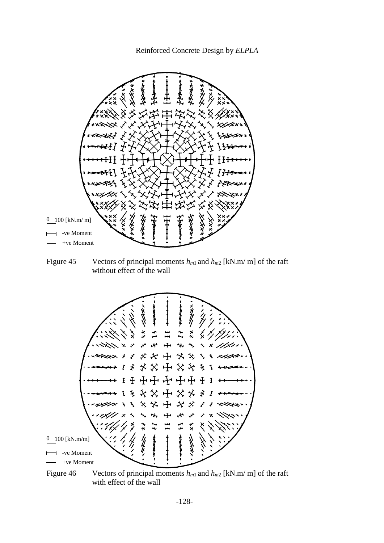

<span id="page-12-0"></span>Figure 45 Vectors of principal moments *hm*1 and *hm*<sup>2</sup> [kN.m/ m] of the raft without effect of the wall



<span id="page-12-1"></span>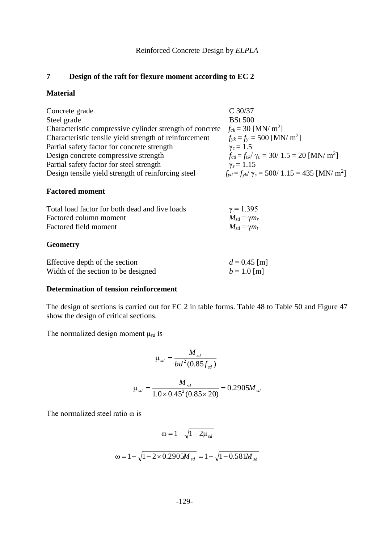# **7 Design of the raft for flexure moment according to EC 2**

#### **Material**

| Concrete grade                                           | $C$ 30/37                                                             |
|----------------------------------------------------------|-----------------------------------------------------------------------|
| Steel grade                                              | <b>BSt 500</b>                                                        |
| Characteristic compressive cylinder strength of concrete | $f_{ck} = 30$ [MN/ m <sup>2</sup> ]                                   |
| Characteristic tensile yield strength of reinforcement   | $f_{\rm vk} = f_{\rm v} = 500$ [MN/ m <sup>2</sup> ]                  |
| Partial safety factor for concrete strength              | $\gamma_c = 1.5$                                                      |
| Design concrete compressive strength                     | $f_{cd} = f_{ck} / \gamma_c = 30 / 1.5 = 20$ [MN/ m <sup>2</sup> ]    |
| Partial safety factor for steel strength                 | $\gamma_s = 1.15$                                                     |
| Design tensile yield strength of reinforcing steel       | $f_{vd} = f_{vk} / \gamma_s = 500 / 1.15 = 435$ [MN/ m <sup>2</sup> ] |
|                                                          |                                                                       |

### **Factored moment**

| Total load factor for both dead and live loads | $\gamma = 1.395$      |
|------------------------------------------------|-----------------------|
| Factored column moment                         | $M_{sd} = \gamma m_r$ |
| Factored field moment                          | $M_{sd} = \gamma m_t$ |
| <b>Geometry</b>                                |                       |

| Effective depth of the section      | $d = 0.45$ [m] |
|-------------------------------------|----------------|
| Width of the section to be designed | $b = 1.0$ [m]  |

#### **Determination of tension reinforcement**

The design of sections is carried out for EC 2 in table forms. [Table 48](#page-15-0) to [Table 50](#page-15-1) and [Figure 47](#page-14-0) show the design of critical sections.

The normalized design moment μ*sd* is

$$
\mu_{sd} = \frac{M_{sd}}{bd^2 (0.85 f_{cd})}
$$

$$
\mu_{sd} = \frac{M_{sd}}{1.0 \times 0.45^2 (0.85 \times 20)} = 0.2905 M_{sd}
$$

The normalized steel ratio ω is

$$
\omega = 1 - \sqrt{1 - 2\mu_{sd}}
$$

$$
\omega = 1 - \sqrt{1 - 2 \times 0.2905 M_{sd}} = 1 - \sqrt{1 - 0.581 M_{sd}}
$$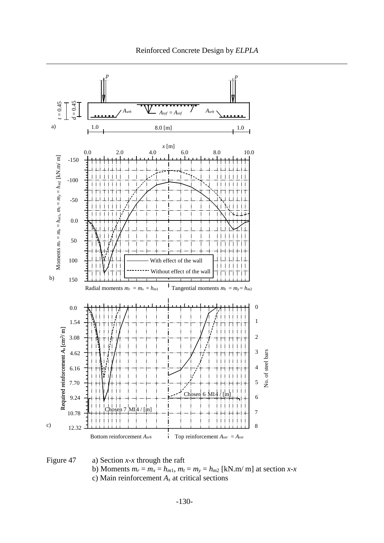

<span id="page-14-0"></span>Figure 47 a) Section *x-x* through the raft b) Moments  $m_r = m_x = h_{m1}$ ,  $m_t = m_y = h_{m2}$  [kN.m/ m] at section *x*-*x* c) Main reinforcement *A<sup>s</sup>* at critical sections

Reinforced Concrete Design by *ELPLA*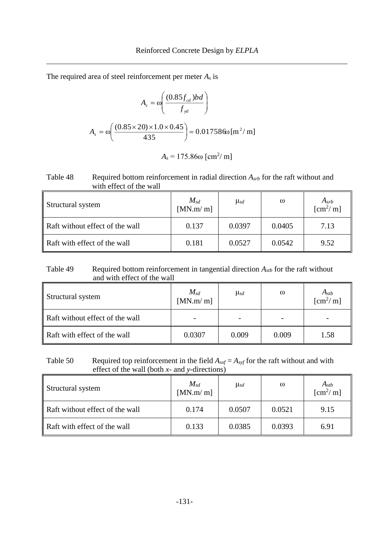The required area of steel reinforcement per meter *A<sup>s</sup>* is

$$
A_s = \omega \left( \frac{(0.85f_{cd})bd}{f_{yd}} \right)
$$
  

$$
A_s = \omega \left( \frac{(0.85 \times 20) \times 1.0 \times 0.45}{435} \right) = 0.017586\omega \left[ m^2 / m \right]
$$
  

$$
A_s = 175.86\omega \left[ cm^2 / m \right]
$$

<span id="page-15-0"></span>Table 48 Required bottom reinforcement in radial direction  $A_{srb}$  for the raft without and with effect of the wall

| Structural system               | $M_{sd}$<br>[MN.m/m] | $\mu_{sd}$ | $\omega$ | $A_{srb}$ [cm <sup>2</sup> /m] |
|---------------------------------|----------------------|------------|----------|--------------------------------|
| Raft without effect of the wall | 0.137                | 0.0397     | 0.0405   | 7.13                           |
| Raft with effect of the wall    | 0.181                | 0.0527     | 0.0542   | 9.52                           |

Table 49 Required bottom reinforcement in tangential direction  $A_{\text{stb}}$  for the raft without and with effect of the wall

| Structural system               | $M_{sd}$<br>[MN.m/m] | $\mu_{sd}$ | $\omega$ | $A_{stb}$ [cm <sup>2</sup> / m] |
|---------------------------------|----------------------|------------|----------|---------------------------------|
| Raft without effect of the wall |                      |            |          |                                 |
| Raft with effect of the wall    | 0.0307               | 0.009      | 0.009    | 1.58                            |

<span id="page-15-1"></span>Table 50 Required top reinforcement in the field  $A_{sxf} = A_{syf}$  for the raft without and with effect of the wall (both *x*- and *y*-directions)

| Structural system               | $M_{sd}$<br>[MN.m/m] | $\mu_{sd}$ | $\omega$ | $A_{stb}$ [cm <sup>2</sup> / m] |
|---------------------------------|----------------------|------------|----------|---------------------------------|
| Raft without effect of the wall | 0.174                | 0.0507     | 0.0521   | 9.15                            |
| Raft with effect of the wall    | 0.133                | 0.0385     | 0.0393   | 6.91                            |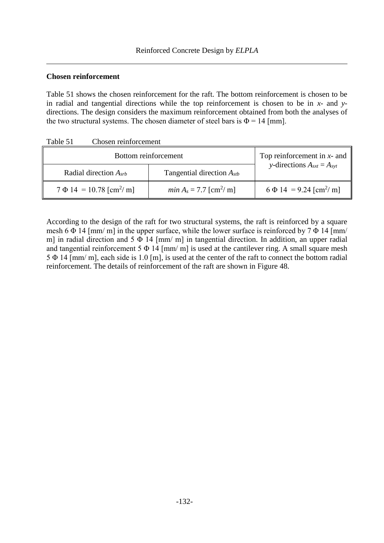#### **Chosen reinforcement**

[Table 51](#page-16-0) shows the chosen reinforcement for the raft. The bottom reinforcement is chosen to be in radial and tangential directions while the top reinforcement is chosen to be in *x*- and *y*directions. The design considers the maximum reinforcement obtained from both the analyses of the two structural systems. The chosen diameter of steel bars is  $\Phi = 14$  [mm].

| Bottom reinforcement                      |                                              | Top reinforcement in $x$ - and           |
|-------------------------------------------|----------------------------------------------|------------------------------------------|
| Radial direction $A_{srb}$                | Tangential direction A <sub>stb</sub>        | y-directions $A_{sxt} = A_{syt}$         |
| $7 \Phi 14 = 10.78$ [cm <sup>2</sup> / m] | <i>min</i> $A_s = 7.7$ [cm <sup>2</sup> / m] | $6 \Phi 14 = 9.24$ [cm <sup>2</sup> / m] |

<span id="page-16-0"></span>

| Table 51 | Chosen reinforcement |
|----------|----------------------|
|----------|----------------------|

According to the design of the raft for two structural systems, the raft is reinforced by a square mesh 6  $\Phi$  14 [mm/ m] in the upper surface, while the lower surface is reinforced by 7  $\Phi$  14 [mm/ m] in radial direction and 5  $\Phi$  14 [mm/ m] in tangential direction. In addition, an upper radial and tangential reinforcement 5  $\Phi$  14 [mm/ m] is used at the cantilever ring. A small square mesh 5 Φ 14 [mm/ m], each side is 1.0 [m], is used at the center of the raft to connect the bottom radial reinforcement. The details of reinforcement of the raft are shown in [Figure 48.](#page-17-0)